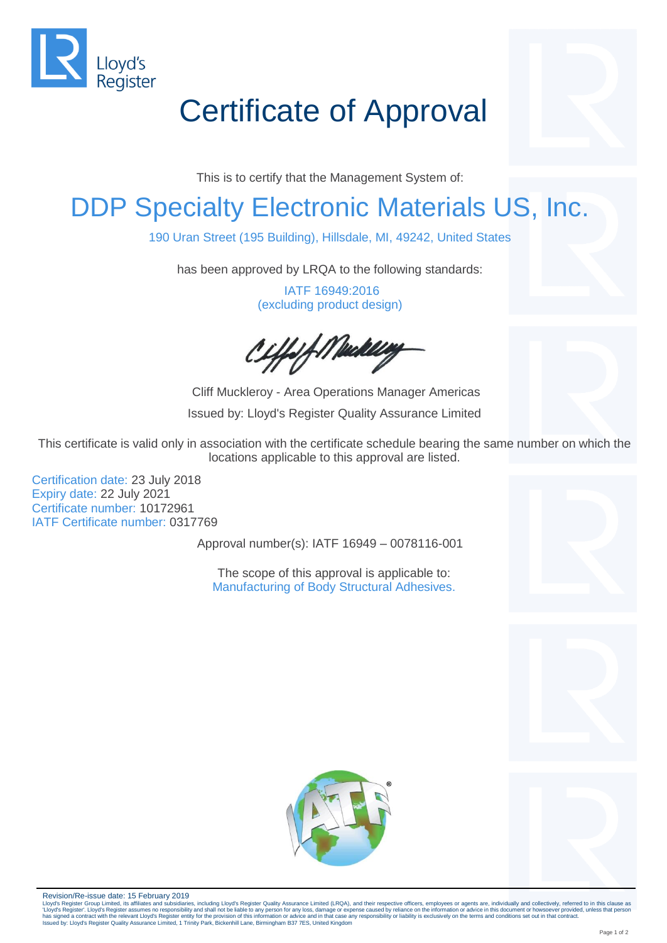

# Certificate of Approval

This is to certify that the Management System of:

### DDP Specialty Electronic Materials US, Inc.

190 Uran Street (195 Building), Hillsdale, MI, 49242, United States

has been approved by LRQA to the following standards:

IATF 16949:2016 (excluding product design)

iffsf Mackley

Cliff Muckleroy - Area Operations Manager Americas Issued by: Lloyd's Register Quality Assurance Limited

This certificate is valid only in association with the certificate schedule bearing the same number on which the locations applicable to this approval are listed.

Certification date: 23 July 2018 Expiry date: 22 July 2021 Certificate number: 10172961 IATF Certificate number: 0317769

Approval number(s): IATF 16949 – 0078116-001

The scope of this approval is applicable to: Manufacturing of Body Structural Adhesives.









Revision/Re-issue date: 15 February 2019

Lloyd's Register Group Limited, its affiliates and subsidiaries, including Lloyd's Register Quality Assurance Limited (LRQA), and their respective officers, employees or agents are, individually and collectively, referred